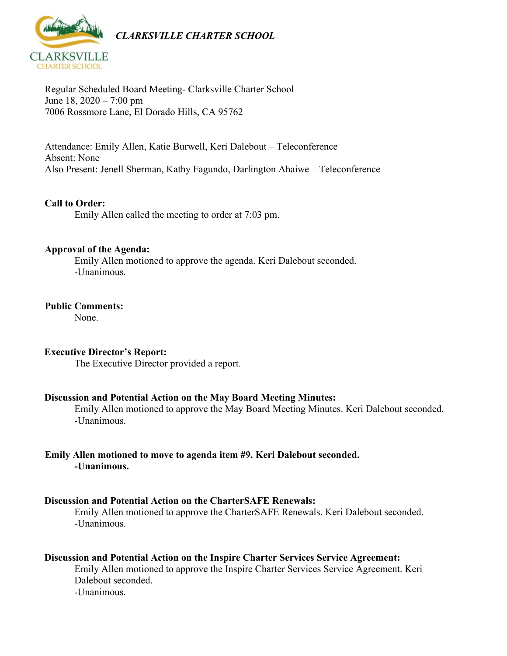

Regular Scheduled Board Meeting- Clarksville Charter School June 18, 2020 – 7:00 pm 7006 Rossmore Lane, El Dorado Hills, CA 95762

Attendance: Emily Allen, Katie Burwell, Keri Dalebout – Teleconference Absent: None Also Present: Jenell Sherman, Kathy Fagundo, Darlington Ahaiwe – Teleconference

#### **Call to Order:**

Emily Allen called the meeting to order at 7:03 pm.

#### **Approval of the Agenda:**

Emily Allen motioned to approve the agenda. Keri Dalebout seconded. -Unanimous.

# **Public Comments:**

None.

# **Executive Director's Report:**

The Executive Director provided a report.

#### **Discussion and Potential Action on the May Board Meeting Minutes:**

Emily Allen motioned to approve the May Board Meeting Minutes. Keri Dalebout seconded. -Unanimous.

# **Emily Allen motioned to move to agenda item #9. Keri Dalebout seconded. -Unanimous.**

# **Discussion and Potential Action on the CharterSAFE Renewals:**

Emily Allen motioned to approve the CharterSAFE Renewals. Keri Dalebout seconded. -Unanimous.

# **Discussion and Potential Action on the Inspire Charter Services Service Agreement:**

Emily Allen motioned to approve the Inspire Charter Services Service Agreement. Keri Dalebout seconded. -Unanimous.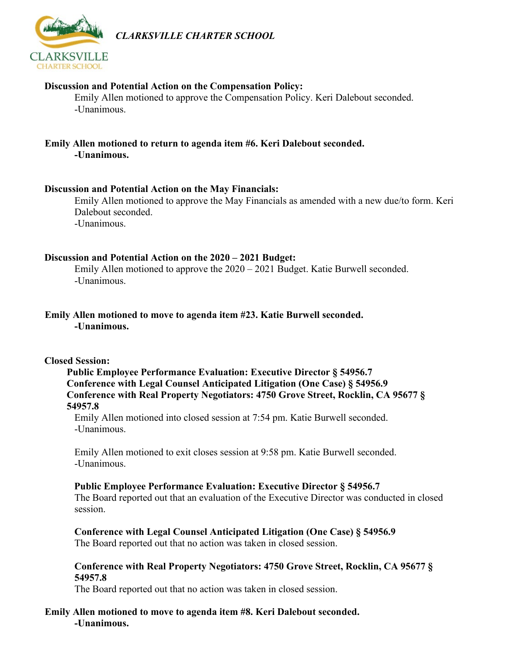

*CLARKSVILLE CHARTER SCHOOL*

## **Discussion and Potential Action on the Compensation Policy:**

Emily Allen motioned to approve the Compensation Policy. Keri Dalebout seconded. -Unanimous.

**Emily Allen motioned to return to agenda item #6. Keri Dalebout seconded. -Unanimous.**

#### **Discussion and Potential Action on the May Financials:**

Emily Allen motioned to approve the May Financials as amended with a new due/to form. Keri Dalebout seconded. -Unanimous.

#### **Discussion and Potential Action on the 2020 – 2021 Budget:**

Emily Allen motioned to approve the 2020 – 2021 Budget. Katie Burwell seconded. -Unanimous.

# **Emily Allen motioned to move to agenda item #23. Katie Burwell seconded. -Unanimous.**

#### **Closed Session:**

**Public Employee Performance Evaluation: Executive Director § 54956.7 Conference with Legal Counsel Anticipated Litigation (One Case) § 54956.9 Conference with Real Property Negotiators: 4750 Grove Street, Rocklin, CA 95677 § 54957.8**

Emily Allen motioned into closed session at 7:54 pm. Katie Burwell seconded. -Unanimous.

Emily Allen motioned to exit closes session at 9:58 pm. Katie Burwell seconded. -Unanimous.

#### **Public Employee Performance Evaluation: Executive Director § 54956.7**

The Board reported out that an evaluation of the Executive Director was conducted in closed session.

**Conference with Legal Counsel Anticipated Litigation (One Case) § 54956.9**

The Board reported out that no action was taken in closed session.

#### **Conference with Real Property Negotiators: 4750 Grove Street, Rocklin, CA 95677 § 54957.8**

The Board reported out that no action was taken in closed session.

# **Emily Allen motioned to move to agenda item #8. Keri Dalebout seconded. -Unanimous.**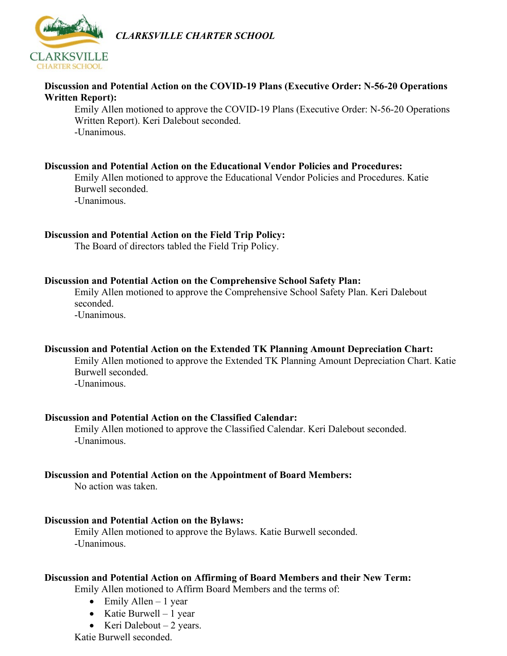

*CLARKSVILLE CHARTER SCHOOL*

# **Discussion and Potential Action on the COVID-19 Plans (Executive Order: N-56-20 Operations Written Report):**

Emily Allen motioned to approve the COVID-19 Plans (Executive Order: N-56-20 Operations Written Report). Keri Dalebout seconded. -Unanimous.

#### **Discussion and Potential Action on the Educational Vendor Policies and Procedures:**

Emily Allen motioned to approve the Educational Vendor Policies and Procedures. Katie Burwell seconded.

-Unanimous.

#### **Discussion and Potential Action on the Field Trip Policy:**

The Board of directors tabled the Field Trip Policy.

#### **Discussion and Potential Action on the Comprehensive School Safety Plan:**

Emily Allen motioned to approve the Comprehensive School Safety Plan. Keri Dalebout seconded.

-Unanimous.

#### **Discussion and Potential Action on the Extended TK Planning Amount Depreciation Chart:**

Emily Allen motioned to approve the Extended TK Planning Amount Depreciation Chart. Katie Burwell seconded.

-Unanimous.

#### **Discussion and Potential Action on the Classified Calendar:**

Emily Allen motioned to approve the Classified Calendar. Keri Dalebout seconded. -Unanimous.

#### **Discussion and Potential Action on the Appointment of Board Members:**

No action was taken.

#### **Discussion and Potential Action on the Bylaws:**

Emily Allen motioned to approve the Bylaws. Katie Burwell seconded. -Unanimous.

#### **Discussion and Potential Action on Affirming of Board Members and their New Term:**

Emily Allen motioned to Affirm Board Members and the terms of:

- Emily Allen  $-1$  year
- Katie Burwell 1 year
- Keri Dalebout  $-2$  years.

Katie Burwell seconded.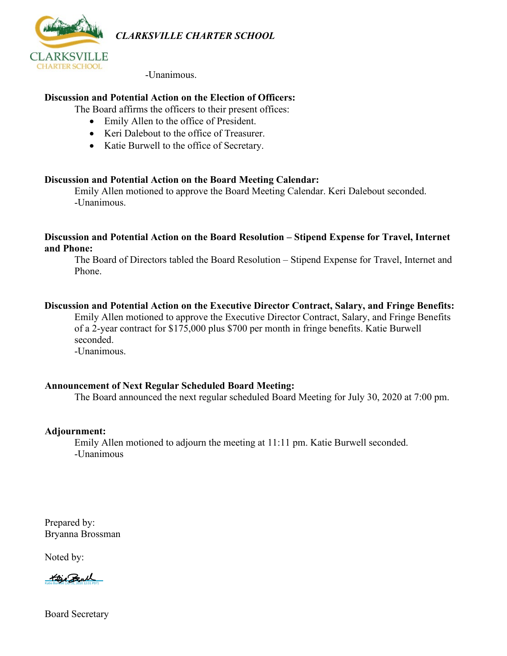



-Unanimous.

# **Discussion and Potential Action on the Election of Officers:**

The Board affirms the officers to their present offices:

- Emily Allen to the office of President.
- Keri Dalebout to the office of Treasurer.
- Katie Burwell to the office of Secretary.

# **Discussion and Potential Action on the Board Meeting Calendar:**

Emily Allen motioned to approve the Board Meeting Calendar. Keri Dalebout seconded. -Unanimous.

#### **Discussion and Potential Action on the Board Resolution – Stipend Expense for Travel, Internet and Phone:**

The Board of Directors tabled the Board Resolution – Stipend Expense for Travel, Internet and Phone.

# **Discussion and Potential Action on the Executive Director Contract, Salary, and Fringe Benefits:**

Emily Allen motioned to approve the Executive Director Contract, Salary, and Fringe Benefits of a 2-year contract for \$175,000 plus \$700 per month in fringe benefits. Katie Burwell seconded.

-Unanimous.

# **Announcement of Next Regular Scheduled Board Meeting:**

The Board announced the next regular scheduled Board Meeting for July 30, 2020 at 7:00 pm.

#### **Adjournment:**

Emily Allen motioned to adjourn the meeting at 11:11 pm. Katie Burwell seconded. -Unanimous

Prepared by: Bryanna Brossman

Noted by:

[Katie Burwell \(Jul 31, 2020 12:01 PDT\)](https://na2.documents.adobe.com/verifier?tx=CBJCHBCAABAALPLk65n5RnBFblVUJK14SyxDAAxtpiwF)

Board Secretary